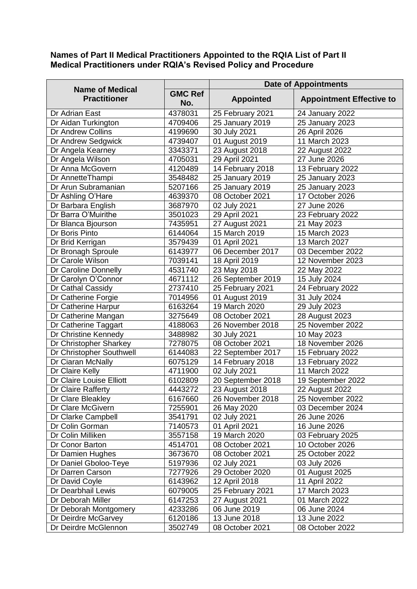## **Names of Part II Medical Practitioners Appointed to the RQIA List of Part II Medical Practitioners under RQIA's Revised Policy and Procedure**

| <b>Name of Medical</b><br><b>Practitioner</b> |                       | <b>Date of Appointments</b> |                                 |  |
|-----------------------------------------------|-----------------------|-----------------------------|---------------------------------|--|
|                                               | <b>GMC Ref</b><br>No. | <b>Appointed</b>            | <b>Appointment Effective to</b> |  |
| Dr Adrian East                                | 4378031               | 25 February 2021            | 24 January 2022                 |  |
| Dr Aidan Turkington                           | 4709406               | 25 January 2019             | 25 January 2023                 |  |
| Dr Andrew Collins                             | 4199690               | 30 July 2021                | 26 April 2026                   |  |
| Dr Andrew Sedgwick                            | 4739407               | 01 August 2019              | 11 March 2023                   |  |
| Dr Angela Kearney                             | 3343371               | 23 August 2018              | 22 August 2022                  |  |
| Dr Angela Wilson                              | 4705031               | 29 April 2021               | 27 June 2026                    |  |
| Dr Anna McGovern                              | 4120489               | 14 February 2018            | 13 February 2022                |  |
| Dr AnnetteThampi                              | 3548482               | 25 January 2019             | 25 January 2023                 |  |
| Dr Arun Subramanian                           | 5207166               | 25 January 2019             | 25 January 2023                 |  |
| Dr Ashling O'Hare                             | 4639370               | 08 October 2021             | 17 October 2026                 |  |
| Dr Barbara English                            | 3687970               | 02 July 2021                | 27 June 2026                    |  |
| Dr Barra O'Muirithe                           | 3501023               | 29 April 2021               | 23 February 2022                |  |
| Dr Blanca Bjourson                            | 7435951               | 27 August 2021              | 21 May 2023                     |  |
| Dr Boris Pinto                                | 6144064               | 15 March 2019               | 15 March 2023                   |  |
| Dr Brid Kerrigan                              | 3579439               | 01 April 2021               | 13 March 2027                   |  |
| Dr Bronagh Sproule                            | 6143977               | 06 December 2017            | 03 December 2022                |  |
| Dr Carole Wilson                              | 7039141               | 18 April 2019               | 12 November 2023                |  |
| Dr Caroline Donnelly                          | 4531740               | 23 May 2018                 | 22 May 2022                     |  |
| Dr Carolyn O'Connor                           | 4671112               | 26 September 2019           | 15 July 2024                    |  |
| Dr Cathal Cassidy                             | 2737410               | 25 February 2021            | 24 February 2022                |  |
| Dr Catherine Forgie                           | 7014956               | 01 August 2019              | 31 July 2024                    |  |
| Dr Catherine Harpur                           | 6163264               | 19 March 2020               | 29 July 2023                    |  |
| Dr Catherine Mangan                           | 3275649               | 08 October 2021             | 28 August 2023                  |  |
| Dr Catherine Taggart                          | 4188063               | 26 November 2018            | 25 November 2022                |  |
| Dr Christine Kennedy                          | 3488982               | 30 July 2021                | 10 May 2023                     |  |
| Dr Christopher Sharkey                        | 7278075               | 08 October 2021             | 18 November 2026                |  |
| Dr Christopher Southwell                      | 6144083               | 22 September 2017           | 15 February 2022                |  |
| Dr Ciaran McNally                             | 6075129               | 14 February 2018            | 13 February 2022                |  |
| Dr Claire Kelly                               | 4711900               | 02 July 2021                | 11 March 2022                   |  |
| Dr Claire Louise Elliott                      | 6102809               | 20 September 2018           | 19 September 2022               |  |
| Dr Claire Rafferty                            | 4443272               | 23 August 2018              | 22 August 2022                  |  |
| Dr Clare Bleakley                             | 6167660               | 26 November 2018            | 25 November 2022                |  |
| Dr Clare McGivern                             | 7255901               | 26 May 2020                 | 03 December 2024                |  |
| Dr Clarke Campbell                            | 3541791               | 02 July 2021                | 26 June 2026                    |  |
| Dr Colin Gorman                               | 7140573               | 01 April 2021               | 16 June 2026                    |  |
| Dr Colin Milliken                             | 3557158               | 19 March 2020               | 03 February 2025                |  |
| Dr Conor Barton                               | 4514701               | 08 October 2021             | 10 October 2026                 |  |
| Dr Damien Hughes                              | 3673670               | 08 October 2021             | 25 October 2022                 |  |
| Dr Daniel Gboloo-Teye                         | 5197936               | 02 July 2021                | 03 July 2026                    |  |
| Dr Darren Carson                              | 7277926               | 29 October 2020             | 01 August 2025                  |  |
| Dr David Coyle                                | 6143962               | 12 April 2018               | 11 April 2022                   |  |
| Dr Dearbhail Lewis                            | 6079005               | 25 February 2021            | 17 March 2023                   |  |
| Dr Deborah Miller                             | 6147253               | 27 August 2021              | 01 March 2022                   |  |
| Dr Deborah Montgomery                         | 4233286               | 06 June 2019                | 06 June 2024                    |  |
| Dr Deirdre McGarvey                           | 6120186               | 13 June 2018                | 13 June 2022                    |  |
| Dr Deirdre McGlennon                          | 3502749               | 08 October 2021             | 08 October 2022                 |  |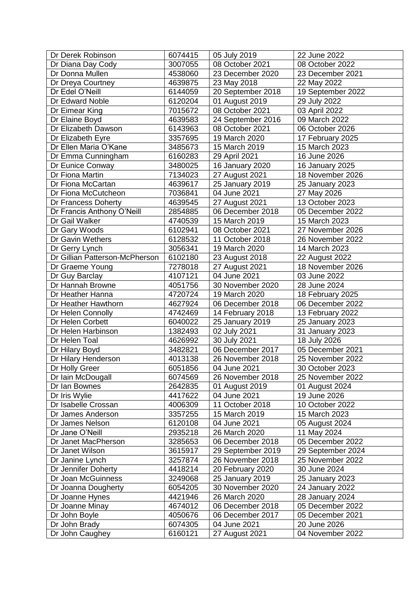| Dr Derek Robinson              | 6074415 | 05 July 2019      | 22 June 2022      |
|--------------------------------|---------|-------------------|-------------------|
| Dr Diana Day Cody              | 3007055 | 08 October 2021   | 08 October 2022   |
| Dr Donna Mullen                | 4538060 | 23 December 2020  | 23 December 2021  |
| Dr Dreya Courtney              | 4639875 | 23 May 2018       | 22 May 2022       |
| Dr Edel O'Neill                | 6144059 | 20 September 2018 | 19 September 2022 |
| Dr Edward Noble                | 6120204 | 01 August 2019    | 29 July 2022      |
| Dr Eimear King                 | 7015672 | 08 October 2021   | 03 April 2022     |
| Dr Elaine Boyd                 | 4639583 | 24 September 2016 | 09 March 2022     |
| Dr Elizabeth Dawson            | 6143963 | 08 October 2021   | 06 October 2026   |
| Dr Elizabeth Eyre              | 3357695 | 19 March 2020     | 17 February 2025  |
| Dr Ellen Maria O'Kane          | 3485673 | 15 March 2019     | 15 March 2023     |
| Dr Emma Cunningham             | 6160283 | 29 April 2021     | 16 June 2026      |
| Dr Eunice Conway               | 3480025 | 16 January 2020   | 16 January 2025   |
| Dr Fiona Martin                | 7134023 | 27 August 2021    | 18 November 2026  |
| Dr Fiona McCartan              | 4639617 | 25 January 2019   | 25 January 2023   |
| Dr Fiona McCutcheon            | 7036841 | 04 June 2021      | 27 May 2026       |
| Dr Francess Doherty            | 4639545 | 27 August 2021    | 13 October 2023   |
| Dr Francis Anthony O'Neill     | 2854885 | 06 December 2018  | 05 December 2022  |
| Dr Gail Walker                 | 4740539 | 15 March 2019     | 15 March 2023     |
| Dr Gary Woods                  | 6102941 | 08 October 2021   | 27 November 2026  |
| Dr Gavin Wethers               | 6128532 | 11 October 2018   | 26 November 2022  |
| Dr Gerry Lynch                 | 3056341 | 19 March 2020     | 14 March 2023     |
| Dr Gillian Patterson-McPherson | 6102180 | 23 August 2018    | 22 August 2022    |
| Dr Graeme Young                | 7278018 | 27 August 2021    | 18 November 2026  |
| Dr Guy Barclay                 | 4107121 | 04 June 2021      | 03 June 2022      |
| Dr Hannah Browne               | 4051756 | 30 November 2020  | 28 June 2024      |
| Dr Heather Hanna               | 4720724 | 19 March 2020     | 18 February 2025  |
| Dr Heather Hawthorn            | 4627924 | 06 December 2018  | 06 December 2022  |
| Dr Helen Connolly              | 4742469 | 14 February 2018  | 13 February 2022  |
| Dr Helen Corbett               | 6040022 | 25 January 2019   | 25 January 2023   |
| Dr Helen Harbinson             | 1382493 | 02 July 2021      | 31 January 2023   |
| Dr Helen Toal                  | 4626992 | 30 July 2021      | 18 July 2026      |
| Dr Hilary Boyd                 | 3482821 | 06 December 2017  | 05 December 2021  |
| Dr Hilary Henderson            | 4013138 | 26 November 2018  | 25 November 2022  |
| Dr Holly Greer                 | 6051856 | 04 June 2021      | 30 October 2023   |
| Dr Iain McDougall              | 6074569 | 26 November 2018  | 25 November 2022  |
| Dr Ian Bownes                  | 2642835 | 01 August 2019    | 01 August 2024    |
| Dr Iris Wylie                  | 4417622 | 04 June 2021      | 19 June 2026      |
| Dr Isabelle Crossan            | 4006309 | 11 October 2018   | 10 October 2022   |
| Dr James Anderson              | 3357255 | 15 March 2019     | 15 March 2023     |
| Dr James Nelson                | 6120108 | 04 June 2021      | 05 August 2024    |
| Dr Jane O'Neill                | 2935218 | 26 March 2020     | 11 May 2024       |
| Dr Janet MacPherson            | 3285653 | 06 December 2018  | 05 December 2022  |
| Dr Janet Wilson                | 3615917 | 29 September 2019 | 29 September 2024 |
| Dr Janine Lynch                | 3257874 | 26 November 2018  | 25 November 2022  |
| Dr Jennifer Doherty            | 4418214 | 20 February 2020  | 30 June 2024      |
| Dr Joan McGuinness             | 3249068 | 25 January 2019   | 25 January 2023   |
| Dr Joanna Dougherty            | 6054205 | 30 November 2020  | 24 January 2022   |
| Dr Joanne Hynes                | 4421946 | 26 March 2020     | 28 January 2024   |
| Dr Joanne Minay                | 4674012 | 06 December 2018  | 05 December 2022  |
| Dr John Boyle                  | 4050676 | 06 December 2017  | 05 December 2021  |
| Dr John Brady                  | 6074305 | 04 June 2021      | 20 June 2026      |
| Dr John Caughey                | 6160121 | 27 August 2021    | 04 November 2022  |
|                                |         |                   |                   |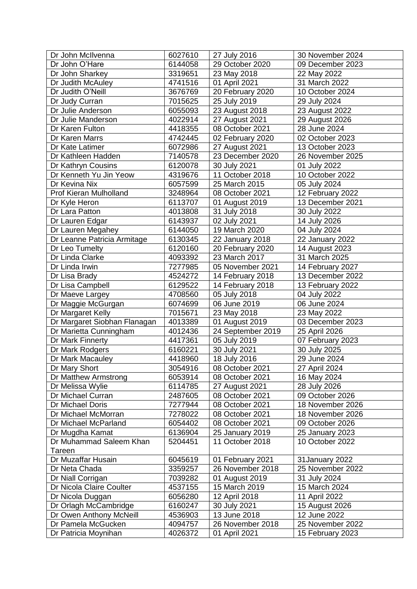| Dr John McIlvenna            | 6027610 | 27 July 2016      | 30 November 2024 |
|------------------------------|---------|-------------------|------------------|
| Dr John O'Hare               | 6144058 | 29 October 2020   | 09 December 2023 |
| Dr John Sharkey              | 3319651 | 23 May 2018       | 22 May 2022      |
| Dr Judith McAuley            | 4741516 | 01 April 2021     | 31 March 2022    |
| Dr Judith O'Neill            | 3676769 | 20 February 2020  | 10 October 2024  |
| Dr Judy Curran               | 7015625 | 25 July 2019      | 29 July 2024     |
| Dr Julie Anderson            | 6055093 | 23 August 2018    | 23 August 2022   |
| Dr Julie Manderson           | 4022914 | 27 August 2021    | 29 August 2026   |
| Dr Karen Fulton              | 4418355 | 08 October 2021   | 28 June 2024     |
| Dr Karen Marrs               | 4742445 | 02 February 2020  | 02 October 2023  |
| Dr Kate Latimer              | 6072986 | 27 August 2021    | 13 October 2023  |
| Dr Kathleen Hadden           | 7140578 | 23 December 2020  | 26 November 2025 |
| Dr Kathryn Cousins           | 6120078 | 30 July 2021      | 01 July 2022     |
| Dr Kenneth Yu Jin Yeow       | 4319676 | 11 October 2018   | 10 October 2022  |
| Dr Kevina Nix                | 6057599 | 25 March 2015     | 05 July 2024     |
| Prof Kieran Mulholland       | 3248964 | 08 October 2021   | 12 February 2022 |
| Dr Kyle Heron                | 6113707 | 01 August 2019    | 13 December 2021 |
| Dr Lara Patton               | 4013808 | 31 July 2018      | 30 July 2022     |
| Dr Lauren Edgar              | 6143937 | 02 July 2021      | 14 July 2026     |
| Dr Lauren Megahey            | 6144050 | 19 March 2020     | 04 July 2024     |
| Dr Leanne Patricia Armitage  | 6130345 | 22 January 2018   | 22 January 2022  |
| Dr Leo Tumelty               | 6120160 | 20 February 2020  | 14 August 2023   |
| Dr Linda Clarke              | 4093392 | 23 March 2017     | 31 March 2025    |
| Dr Linda Irwin               | 7277985 | 05 November 2021  | 14 February 2027 |
| Dr Lisa Brady                | 4524272 | 14 February 2018  | 13 December 2022 |
| Dr Lisa Campbell             | 6129522 | 14 February 2018  | 13 February 2022 |
| Dr Maeve Largey              | 4708560 | 05 July 2018      | 04 July 2022     |
| Dr Maggie McGurgan           | 6074699 | 06 June 2019      | 06 June 2024     |
| Dr Margaret Kelly            | 7015671 | 23 May 2018       | 23 May 2022      |
| Dr Margaret Siobhan Flanagan | 4013389 | 01 August 2019    | 03 December 2023 |
| Dr Marietta Cunningham       | 4012436 | 24 September 2019 | 25 April 2026    |
| Dr Mark Finnerty             | 4417361 | 05 July 2019      | 07 February 2023 |
| Dr Mark Rodgers              | 6160221 | 30 July 2021      | 30 July 2025     |
| Dr Mark Macauley             | 4418960 | 18 July 2016      | 29 June 2024     |
| Dr Mary Short                | 3054916 | 08 October 2021   | 27 April 2024    |
| Dr Matthew Armstrong         | 6053914 | 08 October 2021   | 16 May 2024      |
| Dr Melissa Wylie             | 6114785 | 27 August 2021    | 28 July 2026     |
| Dr Michael Curran            | 2487605 | 08 October 2021   | 09 October 2026  |
| Dr Michael Doris             | 7277944 | 08 October 2021   | 18 November 2026 |
| Dr Michael McMorran          | 7278022 | 08 October 2021   | 18 November 2026 |
| Dr Michael McParland         | 6054402 | 08 October 2021   | 09 October 2026  |
| Dr Mugdha Kamat              | 6136904 | 25 January 2019   | 25 January 2023  |
| Dr Muhammad Saleem Khan      | 5204451 | 11 October 2018   | 10 October 2022  |
| Tareen                       |         |                   |                  |
| Dr Muzaffar Husain           | 6045619 | 01 February 2021  | 31 January 2022  |
| Dr Neta Chada                | 3359257 | 26 November 2018  | 25 November 2022 |
| Dr Niall Corrigan            | 7039282 | 01 August 2019    | 31 July 2024     |
| Dr Nicola Claire Coulter     | 4537155 | 15 March 2019     | 15 March 2024    |
| Dr Nicola Duggan             | 6056280 | 12 April 2018     | 11 April 2022    |
| Dr Orlagh McCambridge        | 6160247 | 30 July 2021      | 15 August 2026   |
| Dr Owen Anthony McNeill      | 4536903 | 13 June 2018      | 12 June 2022     |
| Dr Pamela McGucken           | 4094757 | 26 November 2018  | 25 November 2022 |
| Dr Patricia Moynihan         | 4026372 | 01 April 2021     | 15 February 2023 |
|                              |         |                   |                  |